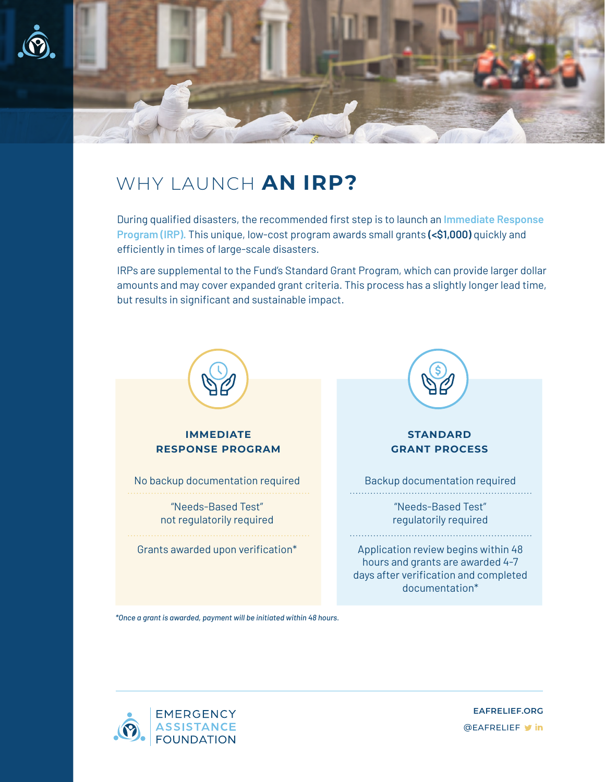

## WHY LAUNCH **AN IRP?**

During qualified disasters, the recommended first step is to launch an **Immediate Response Program (IRP).** This unique, low-cost program awards small grants **(<\$1,000)** quickly and efficiently in times of large-scale disasters.

IRPs are supplemental to the Fund's Standard Grant Program, which can provide larger dollar amounts and may cover expanded grant criteria. This process has a slightly longer lead time, but results in significant and sustainable impact.



*\*Once a grant is awarded, payment will be initiated within 48 hours.*



**@EAFRELIEF v** in **EAFRELIEF.ORG**